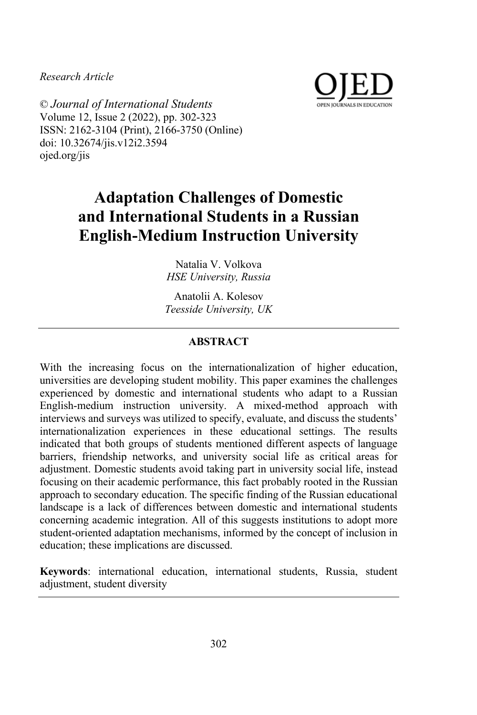*Research Article*



© *Journal of International Students* Volume 12, Issue 2 (2022), pp. 302-323 ISSN: 2162-3104 (Print), 2166-3750 (Online) doi: 10.32674/jis.v12i2.3594 ojed.org/jis

# **Adaptation Challenges of Domestic and International Students in a Russian English-Medium Instruction University**

Natalia V. Volkova *HSE University, Russia*

Anatolii A. Kolesov *Teesside University, UK*

# **ABSTRACT**

With the increasing focus on the internationalization of higher education, universities are developing student mobility. This paper examines the challenges experienced by domestic and international students who adapt to a Russian English-medium instruction university. A mixed-method approach with interviews and surveys was utilized to specify, evaluate, and discuss the students' internationalization experiences in these educational settings. The results indicated that both groups of students mentioned different aspects of language barriers, friendship networks, and university social life as critical areas for adjustment. Domestic students avoid taking part in university social life, instead focusing on their academic performance, this fact probably rooted in the Russian approach to secondary education. The specific finding of the Russian educational landscape is a lack of differences between domestic and international students concerning academic integration. All of this suggests institutions to adopt more student-oriented adaptation mechanisms, informed by the concept of inclusion in education; these implications are discussed.

**Keywords**: international education, international students, Russia, student adjustment, student diversity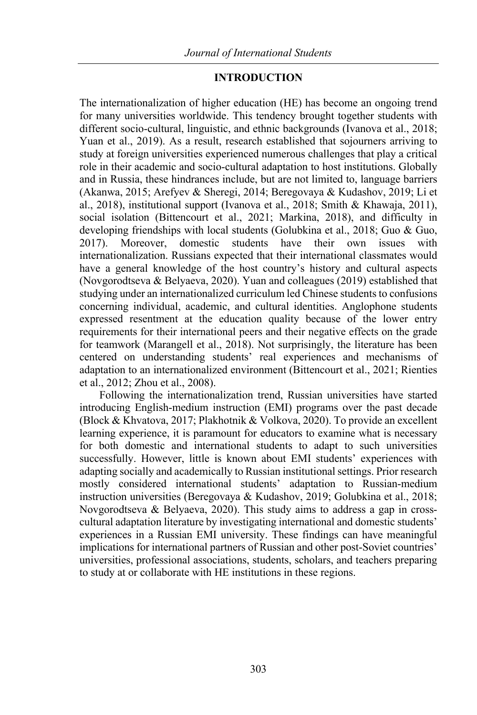## **INTRODUCTION**

The internationalization of higher education (HE) has become an ongoing trend for many universities worldwide. This tendency brought together students with different socio-cultural, linguistic, and ethnic backgrounds (Ivanova et al., 2018; Yuan et al., 2019). As a result, research established that sojourners arriving to study at foreign universities experienced numerous challenges that play a critical role in their academic and socio-cultural adaptation to host institutions. Globally and in Russia, these hindrances include, but are not limited to, language barriers (Akanwa, 2015; Arefyev & Sheregi, 2014; Beregovaya & Kudashov, 2019; Li et al., 2018), institutional support (Ivanova et al., 2018; Smith & Khawaja, 2011), social isolation (Bittencourt et al., 2021; Markina, 2018), and difficulty in developing friendships with local students (Golubkina et al., 2018; Guo & Guo, 2017). Moreover, domestic students have their own issues with internationalization. Russians expected that their international classmates would have a general knowledge of the host country's history and cultural aspects (Novgorodtseva & Belyaeva, 2020). Yuan and colleagues (2019) established that studying under an internationalized curriculum led Chinese students to confusions concerning individual, academic, and cultural identities. Anglophone students expressed resentment at the education quality because of the lower entry requirements for their international peers and their negative effects on the grade for teamwork (Marangell et al., 2018). Not surprisingly, the literature has been centered on understanding students' real experiences and mechanisms of adaptation to an internationalized environment (Bittencourt et al., 2021; Rienties et al., 2012; Zhou et al., 2008).

Following the internationalization trend, Russian universities have started introducing English-medium instruction (EMI) programs over the past decade (Block & Khvatova, 2017; Plakhotnik & Volkova, 2020). To provide an excellent learning experience, it is paramount for educators to examine what is necessary for both domestic and international students to adapt to such universities successfully. However, little is known about EMI students' experiences with adapting socially and academically to Russian institutional settings. Prior research mostly considered international students' adaptation to Russian-medium instruction universities (Beregovaya & Kudashov, 2019; Golubkina et al., 2018; Novgorodtseva & Belyaeva, 2020). This study aims to address a gap in crosscultural adaptation literature by investigating international and domestic students' experiences in a Russian EMI university. These findings can have meaningful implications for international partners of Russian and other post-Soviet countries' universities, professional associations, students, scholars, and teachers preparing to study at or collaborate with HE institutions in these regions.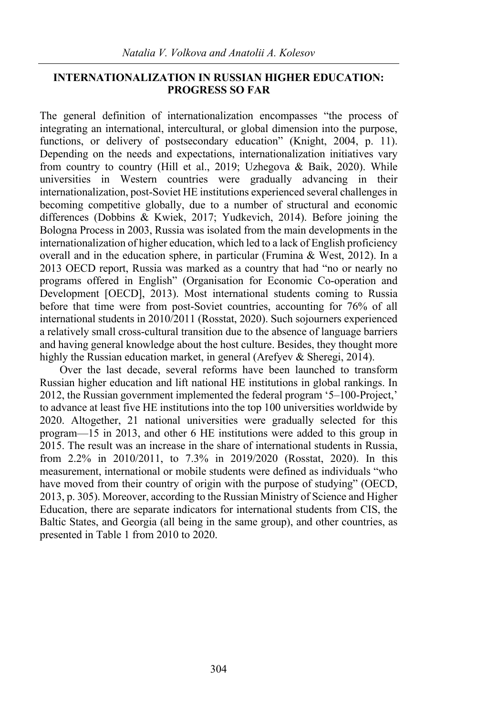# **INTERNATIONALIZATION IN RUSSIAN HIGHER EDUCATION: PROGRESS SO FAR**

The general definition of internationalization encompasses "the process of integrating an international, intercultural, or global dimension into the purpose, functions, or delivery of postsecondary education" (Knight, 2004, p. 11). Depending on the needs and expectations, internationalization initiatives vary from country to country (Hill et al., 2019; Uzhegova & Baik, 2020). While universities in Western countries were gradually advancing in their internationalization, post-Soviet HE institutions experienced several challenges in becoming competitive globally, due to a number of structural and economic differences (Dobbins & Kwiek, 2017; Yudkevich, 2014). Before joining the Bologna Process in 2003, Russia was isolated from the main developments in the internationalization of higher education, which led to a lack of English proficiency overall and in the education sphere, in particular (Frumina & West, 2012). In a 2013 OECD report, Russia was marked as a country that had "no or nearly no programs offered in English" (Organisation for Economic Co-operation and Development [OECD], 2013). Most international students coming to Russia before that time were from post-Soviet countries, accounting for 76% of all international students in 2010/2011 (Rosstat, 2020). Such sojourners experienced a relatively small cross-cultural transition due to the absence of language barriers and having general knowledge about the host culture. Besides, they thought more highly the Russian education market, in general (Arefyev & Sheregi, 2014).

Over the last decade, several reforms have been launched to transform Russian higher education and lift national HE institutions in global rankings. In 2012, the Russian government implemented the federal program '5–100-Project,' to advance at least five HE institutions into the top 100 universities worldwide by 2020. Altogether, 21 national universities were gradually selected for this program—15 in 2013, and other 6 HE institutions were added to this group in 2015. The result was an increase in the share of international students in Russia, from 2.2% in 2010/2011, to 7.3% in 2019/2020 (Rosstat, 2020). In this measurement, international or mobile students were defined as individuals "who have moved from their country of origin with the purpose of studying" (OECD, 2013, p. 305). Moreover, according to the Russian Ministry of Science and Higher Education, there are separate indicators for international students from CIS, the Baltic States, and Georgia (all being in the same group), and other countries, as presented in Table 1 from 2010 to 2020.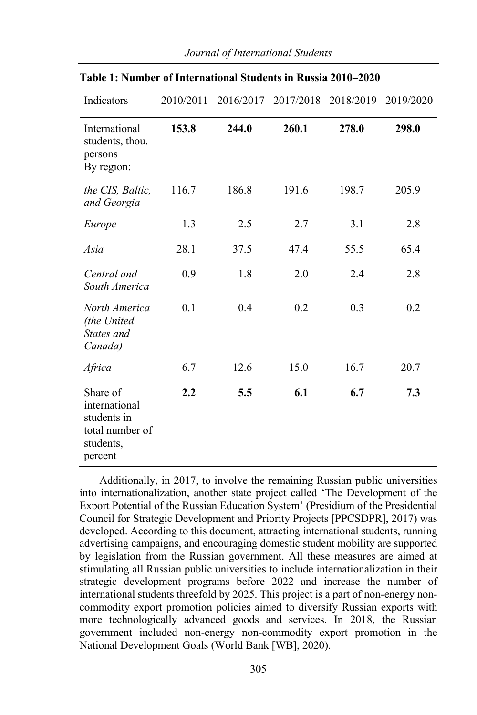| Indicators                                                                          | 2010/2011 | 2016/2017 |       | 2017/2018 2018/2019 | 2019/2020 |
|-------------------------------------------------------------------------------------|-----------|-----------|-------|---------------------|-----------|
| International<br>students, thou.<br>persons<br>By region:                           | 153.8     | 244.0     | 260.1 | 278.0               | 298.0     |
| the CIS, Baltic,<br>and Georgia                                                     | 116.7     | 186.8     | 191.6 | 198.7               | 205.9     |
| Europe                                                                              | 1.3       | 2.5       | 2.7   | 3.1                 | 2.8       |
| Asia                                                                                | 28.1      | 37.5      | 47.4  | 55.5                | 65.4      |
| Central and<br>South America                                                        | 0.9       | 1.8       | 2.0   | 2.4                 | 2.8       |
| North America<br>(the United<br>States and<br>Canada)                               | 0.1       | 0.4       | 0.2   | 0.3                 | 0.2       |
| Africa                                                                              | 6.7       | 12.6      | 15.0  | 16.7                | 20.7      |
| Share of<br>international<br>students in<br>total number of<br>students,<br>percent | 2.2       | 5.5       | 6.1   | 6.7                 | 7.3       |

#### *Journal of International Students*

**Table 1: Number of International Students in Russia 2010–2020**

Additionally, in 2017, to involve the remaining Russian public universities into internationalization, another state project called 'The Development of the Export Potential of the Russian Education System' (Presidium of the Presidential Council for Strategic Development and Priority Projects [PPCSDPR], 2017) was developed. According to this document, attracting international students, running advertising campaigns, and encouraging domestic student mobility are supported by legislation from the Russian government. All these measures are aimed at stimulating all Russian public universities to include internationalization in their strategic development programs before 2022 and increase the number of international students threefold by 2025. This project is a part of non-energy noncommodity export promotion policies aimed to diversify Russian exports with more technologically advanced goods and services. In 2018, the Russian government included non-energy non-commodity export promotion in the National Development Goals (World Bank [WB], 2020).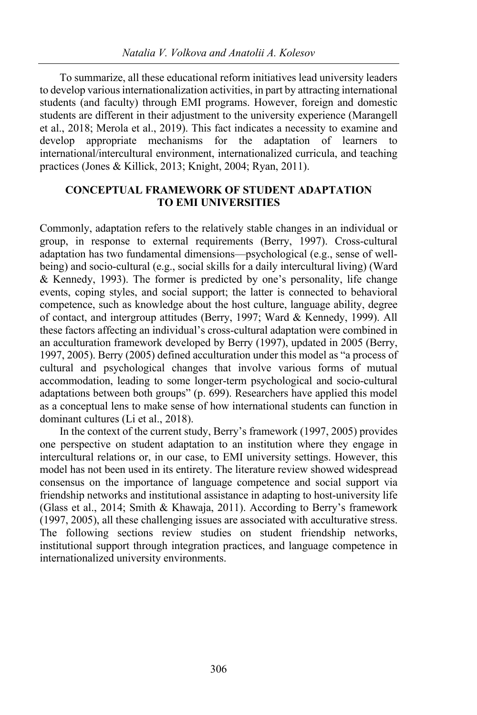To summarize, all these educational reform initiatives lead university leaders to develop various internationalization activities, in part by attracting international students (and faculty) through EMI programs. However, foreign and domestic students are different in their adjustment to the university experience (Marangell et al., 2018; Merola et al., 2019). This fact indicates a necessity to examine and develop appropriate mechanisms for the adaptation of learners international/intercultural environment, internationalized curricula, and teaching practices (Jones & Killick, 2013; Knight, 2004; Ryan, 2011).

# **CONCEPTUAL FRAMEWORK OF STUDENT ADAPTATION TO EMI UNIVERSITIES**

Commonly, adaptation refers to the relatively stable changes in an individual or group, in response to external requirements (Berry, 1997). Cross-cultural adaptation has two fundamental dimensions—psychological (e.g., sense of wellbeing) and socio-cultural (e.g., social skills for a daily intercultural living) (Ward & Kennedy, 1993). The former is predicted by one's personality, life change events, coping styles, and social support; the latter is connected to behavioral competence, such as knowledge about the host culture, language ability, degree of contact, and intergroup attitudes (Berry, 1997; Ward & Kennedy, 1999). All these factors affecting an individual's cross-cultural adaptation were combined in an acculturation framework developed by Berry (1997), updated in 2005 (Berry, 1997, 2005). Berry (2005) defined acculturation under this model as "a process of cultural and psychological changes that involve various forms of mutual accommodation, leading to some longer-term psychological and socio-cultural adaptations between both groups" (p. 699). Researchers have applied this model as a conceptual lens to make sense of how international students can function in dominant cultures (Li et al., 2018).

In the context of the current study, Berry's framework (1997, 2005) provides one perspective on student adaptation to an institution where they engage in intercultural relations or, in our case, to EMI university settings. However, this model has not been used in its entirety. The literature review showed widespread consensus on the importance of language competence and social support via friendship networks and institutional assistance in adapting to host-university life (Glass et al., 2014; Smith & Khawaja, 2011). According to Berry's framework (1997, 2005), all these challenging issues are associated with acculturative stress. The following sections review studies on student friendship networks, institutional support through integration practices, and language competence in internationalized university environments.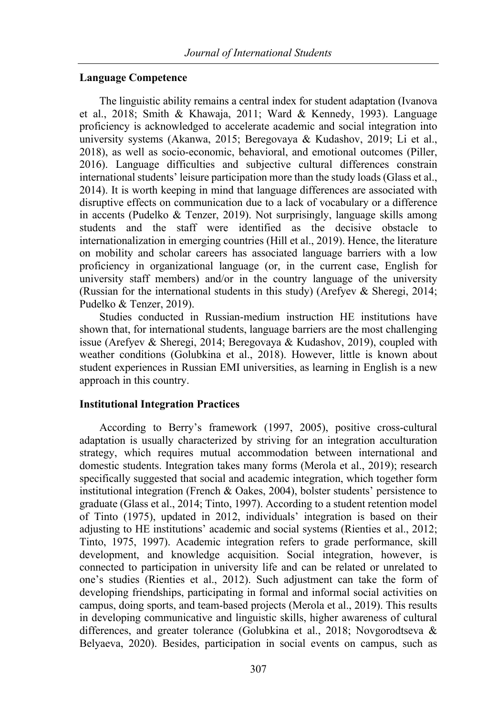### **Language Competence**

The linguistic ability remains a central index for student adaptation (Ivanova et al., 2018; Smith & Khawaja, 2011; Ward & Kennedy, 1993). Language proficiency is acknowledged to accelerate academic and social integration into university systems (Akanwa, 2015; Beregovaya & Kudashov, 2019; Li et al., 2018), as well as socio-economic, behavioral, and emotional outcomes (Piller, 2016). Language difficulties and subjective cultural differences constrain international students' leisure participation more than the study loads (Glass et al., 2014). It is worth keeping in mind that language differences are associated with disruptive effects on communication due to a lack of vocabulary or a difference in accents (Pudelko & Tenzer, 2019). Not surprisingly, language skills among students and the staff were identified as the decisive obstacle to internationalization in emerging countries (Hill et al., 2019). Hence, the literature on mobility and scholar careers has associated language barriers with a low proficiency in organizational language (or, in the current case, English for university staff members) and/or in the country language of the university (Russian for the international students in this study) (Arefyev & Sheregi, 2014; Pudelko & Tenzer, 2019).

Studies conducted in Russian-medium instruction HE institutions have shown that, for international students, language barriers are the most challenging issue (Arefyev & Sheregi, 2014; Beregovaya & Kudashov, 2019), coupled with weather conditions (Golubkina et al., 2018). However, little is known about student experiences in Russian EMI universities, as learning in English is a new approach in this country.

## **Institutional Integration Practices**

According to Berry's framework (1997, 2005), positive cross-cultural adaptation is usually characterized by striving for an integration acculturation strategy, which requires mutual accommodation between international and domestic students. Integration takes many forms (Merola et al., 2019); research specifically suggested that social and academic integration, which together form institutional integration (French & Oakes, 2004), bolster students' persistence to graduate (Glass et al., 2014; Tinto, 1997). According to a student retention model of Tinto (1975), updated in 2012, individuals' integration is based on their adjusting to HE institutions' academic and social systems (Rienties et al., 2012; Tinto, 1975, 1997). Academic integration refers to grade performance, skill development, and knowledge acquisition. Social integration, however, is connected to participation in university life and can be related or unrelated to one's studies (Rienties et al., 2012). Such adjustment can take the form of developing friendships, participating in formal and informal social activities on campus, doing sports, and team-based projects (Merola et al., 2019). This results in developing communicative and linguistic skills, higher awareness of cultural differences, and greater tolerance (Golubkina et al., 2018; Novgorodtseva & Belyaeva, 2020). Besides, participation in social events on campus, such as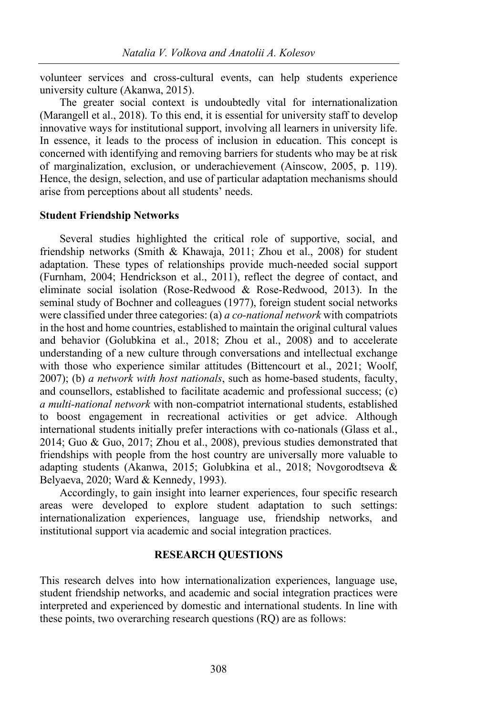volunteer services and cross-cultural events, can help students experience university culture (Akanwa, 2015).

The greater social context is undoubtedly vital for internationalization (Marangell et al., 2018). To this end, it is essential for university staff to develop innovative ways for institutional support, involving all learners in university life. In essence, it leads to the process of inclusion in education. This concept is concerned with identifying and removing barriers for students who may be at risk of marginalization, exclusion, or underachievement (Ainscow, 2005, p. 119). Hence, the design, selection, and use of particular adaptation mechanisms should arise from perceptions about all students' needs.

#### **Student Friendship Networks**

Several studies highlighted the critical role of supportive, social, and friendship networks (Smith & Khawaja, 2011; Zhou et al., 2008) for student adaptation. These types of relationships provide much-needed social support (Furnham, 2004; Hendrickson et al., 2011), reflect the degree of contact, and eliminate social isolation (Rose-Redwood & Rose-Redwood, 2013). In the seminal study of Bochner and colleagues (1977), foreign student social networks were classified under three categories: (a) *a co-national network* with compatriots in the host and home countries, established to maintain the original cultural values and behavior (Golubkina et al., 2018; Zhou et al., 2008) and to accelerate understanding of a new culture through conversations and intellectual exchange with those who experience similar attitudes (Bittencourt et al., 2021; Woolf, 2007); (b) *a network with host nationals*, such as home-based students, faculty, and counsellors, established to facilitate academic and professional success; (c) *a multi-national network* with non-compatriot international students, established to boost engagement in recreational activities or get advice. Although international students initially prefer interactions with co-nationals (Glass et al., 2014; Guo & Guo, 2017; Zhou et al., 2008), previous studies demonstrated that friendships with people from the host country are universally more valuable to adapting students (Akanwa, 2015; Golubkina et al., 2018; Novgorodtseva & Belyaeva, 2020; Ward & Kennedy, 1993).

Accordingly, to gain insight into learner experiences, four specific research areas were developed to explore student adaptation to such settings: internationalization experiences, language use, friendship networks, and institutional support via academic and social integration practices.

#### **RESEARCH QUESTIONS**

This research delves into how internationalization experiences, language use, student friendship networks, and academic and social integration practices were interpreted and experienced by domestic and international students. In line with these points, two overarching research questions (RQ) are as follows: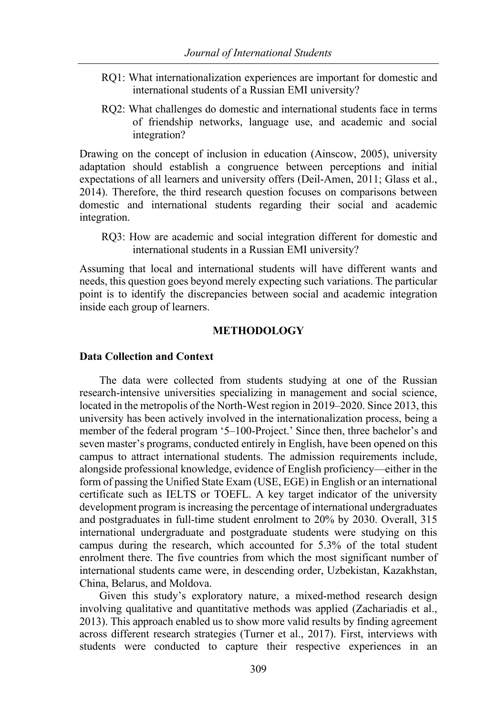- RQ1: What internationalization experiences are important for domestic and international students of a Russian EMI university?
- RQ2: What challenges do domestic and international students face in terms of friendship networks, language use, and academic and social integration?

Drawing on the concept of inclusion in education (Ainscow, 2005), university adaptation should establish a congruence between perceptions and initial expectations of all learners and university offers (Deil-Amen, 2011; Glass et al., 2014). Therefore, the third research question focuses on comparisons between domestic and international students regarding their social and academic integration.

RQ3: How are academic and social integration different for domestic and international students in a Russian EMI university?

Assuming that local and international students will have different wants and needs, this question goes beyond merely expecting such variations. The particular point is to identify the discrepancies between social and academic integration inside each group of learners.

### **METHODOLOGY**

### **Data Collection and Context**

The data were collected from students studying at one of the Russian research-intensive universities specializing in management and social science, located in the metropolis of the North-West region in 2019–2020. Since 2013, this university has been actively involved in the internationalization process, being a member of the federal program '5–100-Project.' Since then, three bachelor's and seven master's programs, conducted entirely in English, have been opened on this campus to attract international students. The admission requirements include, alongside professional knowledge, evidence of English proficiency—either in the form of passing the Unified State Exam (USE, EGE) in English or an international certificate such as IELTS or TOEFL. A key target indicator of the university development program is increasing the percentage of international undergraduates and postgraduates in full-time student enrolment to 20% by 2030. Overall, 315 international undergraduate and postgraduate students were studying on this campus during the research, which accounted for 5.3% of the total student enrolment there. The five countries from which the most significant number of international students came were, in descending order, Uzbekistan, Kazakhstan, China, Belarus, and Moldova.

Given this study's exploratory nature, a mixed-method research design involving qualitative and quantitative methods was applied (Zachariadis et al., 2013). This approach enabled us to show more valid results by finding agreement across different research strategies (Turner et al., 2017). First, interviews with students were conducted to capture their respective experiences in an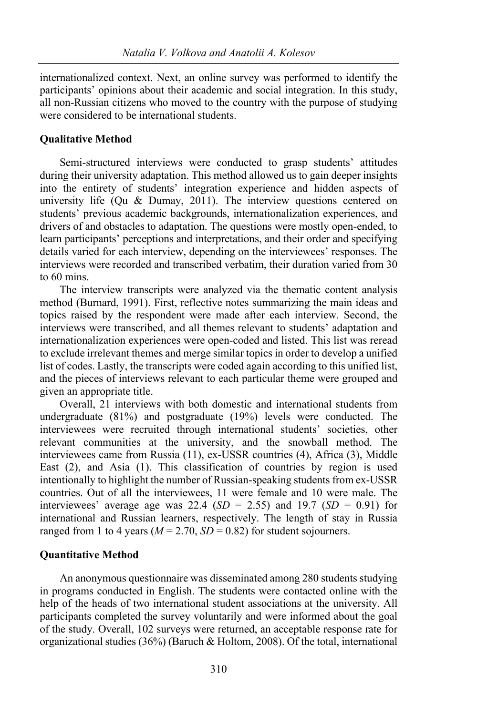internationalized context. Next, an online survey was performed to identify the participants' opinions about their academic and social integration. In this study, all non-Russian citizens who moved to the country with the purpose of studying were considered to be international students.

### **Qualitative Method**

Semi-structured interviews were conducted to grasp students' attitudes during their university adaptation. This method allowed us to gain deeper insights into the entirety of students' integration experience and hidden aspects of university life (Qu & Dumay, 2011). The interview questions centered on students' previous academic backgrounds, internationalization experiences, and drivers of and obstacles to adaptation. The questions were mostly open-ended, to learn participants' perceptions and interpretations, and their order and specifying details varied for each interview, depending on the interviewees' responses. The interviews were recorded and transcribed verbatim, their duration varied from 30 to 60 mins.

The interview transcripts were analyzed via the thematic content analysis method (Burnard, 1991). First, reflective notes summarizing the main ideas and topics raised by the respondent were made after each interview. Second, the interviews were transcribed, and all themes relevant to students' adaptation and internationalization experiences were open-coded and listed. This list was reread to exclude irrelevant themes and merge similar topics in order to develop a unified list of codes. Lastly, the transcripts were coded again according to this unified list, and the pieces of interviews relevant to each particular theme were grouped and given an appropriate title.

Overall, 21 interviews with both domestic and international students from undergraduate (81%) and postgraduate (19%) levels were conducted. The interviewees were recruited through international students' societies, other relevant communities at the university, and the snowball method. The interviewees came from Russia (11), ex-USSR countries (4), Africa (3), Middle East (2), and Asia (1). This classification of countries by region is used intentionally to highlight the number of Russian-speaking students from ex-USSR countries. Out of all the interviewees, 11 were female and 10 were male. The interviewees' average age was 22.4 ( $SD = 2.55$ ) and 19.7 ( $SD = 0.91$ ) for international and Russian learners, respectively. The length of stay in Russia ranged from 1 to 4 years ( $M = 2.70$ ,  $SD = 0.82$ ) for student sojourners.

#### **Quantitative Method**

An anonymous questionnaire was disseminated among 280 students studying in programs conducted in English. The students were contacted online with the help of the heads of two international student associations at the university. All participants completed the survey voluntarily and were informed about the goal of the study. Overall, 102 surveys were returned, an acceptable response rate for organizational studies (36%) (Baruch & Holtom, 2008). Of the total, international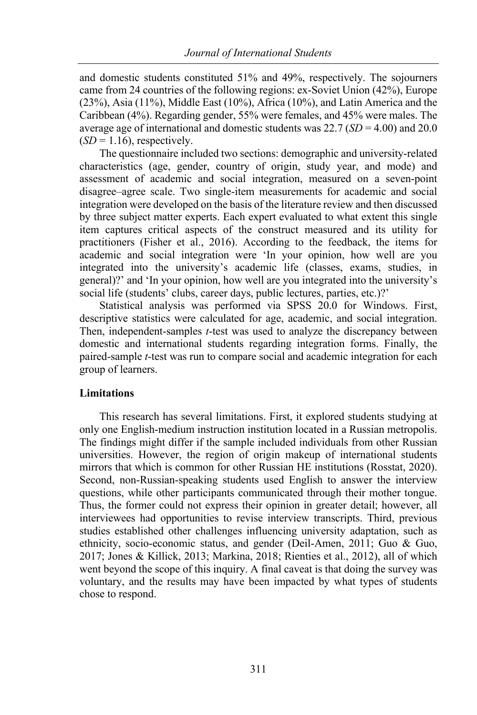and domestic students constituted 51% and 49%, respectively. The sojourners came from 24 countries of the following regions: ex-Soviet Union (42%), Europe (23%), Asia (11%), Middle East (10%), Africa (10%), and Latin America and the Caribbean (4%). Regarding gender, 55% were females, and 45% were males. The average age of international and domestic students was 22.7 (*SD* = 4.00) and 20.0  $(SD = 1.16)$ , respectively.

The questionnaire included two sections: demographic and university-related characteristics (age, gender, country of origin, study year, and mode) and assessment of academic and social integration, measured on a seven-point disagree–agree scale. Two single-item measurements for academic and social integration were developed on the basis of the literature review and then discussed by three subject matter experts. Each expert evaluated to what extent this single item captures critical aspects of the construct measured and its utility for practitioners (Fisher et al., 2016). According to the feedback, the items for academic and social integration were 'In your opinion, how well are you integrated into the university's academic life (classes, exams, studies, in general)?' and 'In your opinion, how well are you integrated into the university's social life (students' clubs, career days, public lectures, parties, etc.)?'

Statistical analysis was performed via SPSS 20.0 for Windows. First, descriptive statistics were calculated for age, academic, and social integration. Then, independent-samples *t*-test was used to analyze the discrepancy between domestic and international students regarding integration forms. Finally, the paired-sample *t*-test was run to compare social and academic integration for each group of learners.

## **Limitations**

This research has several limitations. First, it explored students studying at only one English-medium instruction institution located in a Russian metropolis. The findings might differ if the sample included individuals from other Russian universities. However, the region of origin makeup of international students mirrors that which is common for other Russian HE institutions (Rosstat, 2020). Second, non-Russian-speaking students used English to answer the interview questions, while other participants communicated through their mother tongue. Thus, the former could not express their opinion in greater detail; however, all interviewees had opportunities to revise interview transcripts. Third, previous studies established other challenges influencing university adaptation, such as ethnicity, socio-economic status, and gender (Deil-Amen, 2011; Guo & Guo, 2017; Jones & Killick, 2013; Markina, 2018; Rienties et al., 2012), all of which went beyond the scope of this inquiry. A final caveat is that doing the survey was voluntary, and the results may have been impacted by what types of students chose to respond.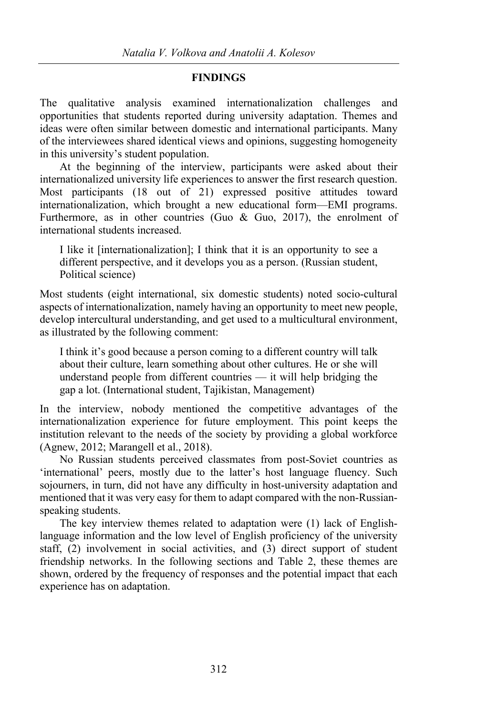#### **FINDINGS**

The qualitative analysis examined internationalization challenges and opportunities that students reported during university adaptation. Themes and ideas were often similar between domestic and international participants. Many of the interviewees shared identical views and opinions, suggesting homogeneity in this university's student population.

At the beginning of the interview, participants were asked about their internationalized university life experiences to answer the first research question. Most participants (18 out of 21) expressed positive attitudes toward internationalization, which brought a new educational form—EMI programs. Furthermore, as in other countries (Guo & Guo, 2017), the enrolment of international students increased.

I like it [internationalization]; I think that it is an opportunity to see a different perspective, and it develops you as a person. (Russian student, Political science)

Most students (eight international, six domestic students) noted socio-cultural aspects of internationalization, namely having an opportunity to meet new people, develop intercultural understanding, and get used to a multicultural environment, as illustrated by the following comment:

I think it's good because a person coming to a different country will talk about their culture, learn something about other cultures. He or she will understand people from different countries — it will help bridging the gap a lot. (International student, Tajikistan, Management)

In the interview, nobody mentioned the competitive advantages of the internationalization experience for future employment. This point keeps the institution relevant to the needs of the society by providing a global workforce (Agnew, 2012; Marangell et al., 2018).

No Russian students perceived classmates from post-Soviet countries as 'international' peers, mostly due to the latter's host language fluency. Such sojourners, in turn, did not have any difficulty in host-university adaptation and mentioned that it was very easy for them to adapt compared with the non-Russianspeaking students.

The key interview themes related to adaptation were (1) lack of Englishlanguage information and the low level of English proficiency of the university staff, (2) involvement in social activities, and (3) direct support of student friendship networks. In the following sections and Table 2, these themes are shown, ordered by the frequency of responses and the potential impact that each experience has on adaptation.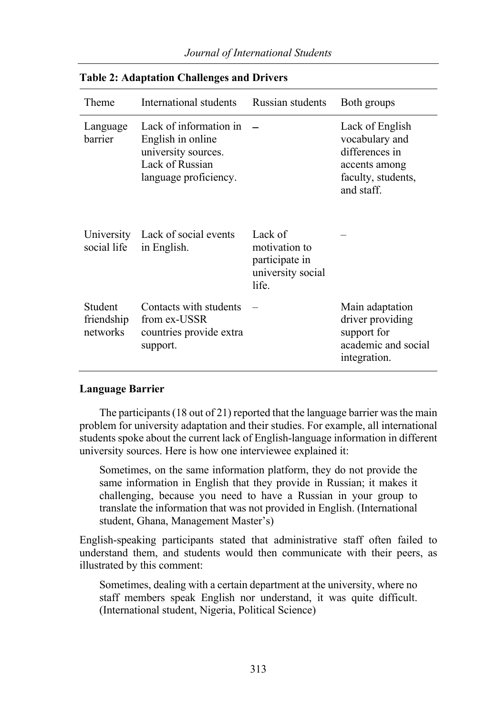| Theme                             | International students                                                                                         | Russian students                                                         | Both groups                                                                                              |
|-----------------------------------|----------------------------------------------------------------------------------------------------------------|--------------------------------------------------------------------------|----------------------------------------------------------------------------------------------------------|
| Language<br>barrier               | Lack of information in<br>English in online<br>university sources.<br>Lack of Russian<br>language proficiency. |                                                                          | Lack of English<br>vocabulary and<br>differences in<br>accents among<br>faculty, students,<br>and staff. |
| social life                       | University Lack of social events<br>in English.                                                                | Lack of<br>motivation to<br>participate in<br>university social<br>life. |                                                                                                          |
| Student<br>friendship<br>networks | Contacts with students<br>from ex-USSR<br>countries provide extra<br>support.                                  |                                                                          | Main adaptation<br>driver providing<br>support for<br>academic and social<br>integration.                |

## **Table 2: Adaptation Challenges and Drivers**

## **Language Barrier**

The participants (18 out of 21) reported that the language barrier was the main problem for university adaptation and their studies. For example, all international students spoke about the current lack of English-language information in different university sources. Here is how one interviewee explained it:

Sometimes, on the same information platform, they do not provide the same information in English that they provide in Russian; it makes it challenging, because you need to have a Russian in your group to translate the information that was not provided in English. (International student, Ghana, Management Master's)

English-speaking participants stated that administrative staff often failed to understand them, and students would then communicate with their peers, as illustrated by this comment:

Sometimes, dealing with a certain department at the university, where no staff members speak English nor understand, it was quite difficult. (International student, Nigeria, Political Science)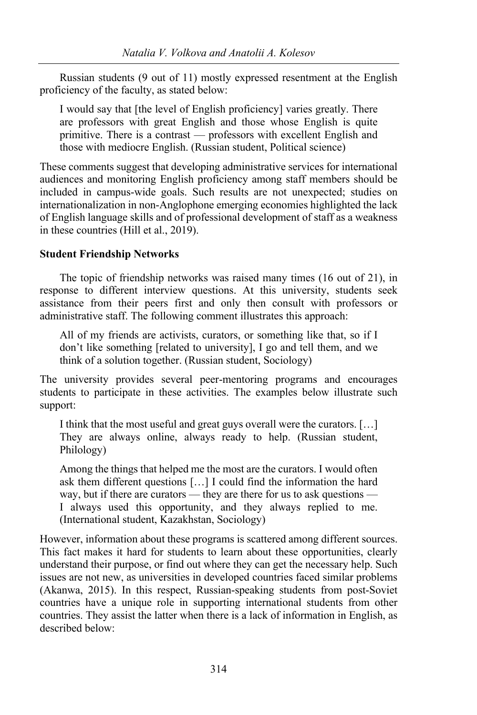Russian students (9 out of 11) mostly expressed resentment at the English proficiency of the faculty, as stated below:

I would say that [the level of English proficiency] varies greatly. There are professors with great English and those whose English is quite primitive. There is a contrast — professors with excellent English and those with mediocre English. (Russian student, Political science)

These comments suggest that developing administrative services for international audiences and monitoring English proficiency among staff members should be included in campus-wide goals. Such results are not unexpected; studies on internationalization in non-Anglophone emerging economies highlighted the lack of English language skills and of professional development of staff as a weakness in these countries (Hill et al., 2019).

# **Student Friendship Networks**

The topic of friendship networks was raised many times (16 out of 21), in response to different interview questions. At this university, students seek assistance from their peers first and only then consult with professors or administrative staff. The following comment illustrates this approach:

All of my friends are activists, curators, or something like that, so if I don't like something [related to university], I go and tell them, and we think of a solution together. (Russian student, Sociology)

The university provides several peer-mentoring programs and encourages students to participate in these activities. The examples below illustrate such support:

I think that the most useful and great guys overall were the curators. […] They are always online, always ready to help. (Russian student, Philology)

Among the things that helped me the most are the curators. I would often ask them different questions […] I could find the information the hard way, but if there are curators — they are there for us to ask questions — I always used this opportunity, and they always replied to me. (International student, Kazakhstan, Sociology)

However, information about these programs is scattered among different sources. This fact makes it hard for students to learn about these opportunities, clearly understand their purpose, or find out where they can get the necessary help. Such issues are not new, as universities in developed countries faced similar problems (Akanwa, 2015). In this respect, Russian-speaking students from post-Soviet countries have a unique role in supporting international students from other countries. They assist the latter when there is a lack of information in English, as described below: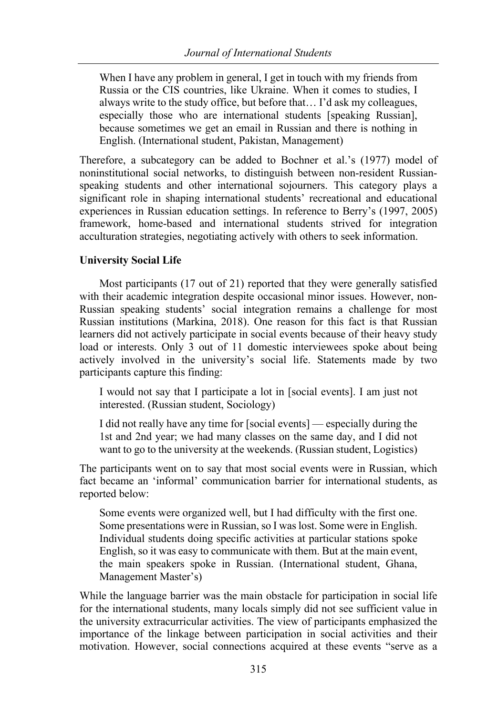When I have any problem in general, I get in touch with my friends from Russia or the CIS countries, like Ukraine. When it comes to studies, I always write to the study office, but before that… I'd ask my colleagues, especially those who are international students [speaking Russian], because sometimes we get an email in Russian and there is nothing in English. (International student, Pakistan, Management)

Therefore, a subcategory can be added to Bochner et al.'s (1977) model of noninstitutional social networks, to distinguish between non-resident Russianspeaking students and other international sojourners. This category plays a significant role in shaping international students' recreational and educational experiences in Russian education settings. In reference to Berry's (1997, 2005) framework, home-based and international students strived for integration acculturation strategies, negotiating actively with others to seek information.

## **University Social Life**

Most participants (17 out of 21) reported that they were generally satisfied with their academic integration despite occasional minor issues. However, non-Russian speaking students' social integration remains a challenge for most Russian institutions (Markina, 2018). One reason for this fact is that Russian learners did not actively participate in social events because of their heavy study load or interests. Only 3 out of 11 domestic interviewees spoke about being actively involved in the university's social life. Statements made by two participants capture this finding:

I would not say that I participate a lot in [social events]. I am just not interested. (Russian student, Sociology)

I did not really have any time for [social events] — especially during the 1st and 2nd year; we had many classes on the same day, and I did not want to go to the university at the weekends. (Russian student, Logistics)

The participants went on to say that most social events were in Russian, which fact became an 'informal' communication barrier for international students, as reported below:

Some events were organized well, but I had difficulty with the first one. Some presentations were in Russian, so I was lost. Some were in English. Individual students doing specific activities at particular stations spoke English, so it was easy to communicate with them. But at the main event, the main speakers spoke in Russian. (International student, Ghana, Management Master's)

While the language barrier was the main obstacle for participation in social life for the international students, many locals simply did not see sufficient value in the university extracurricular activities. The view of participants emphasized the importance of the linkage between participation in social activities and their motivation. However, social connections acquired at these events "serve as a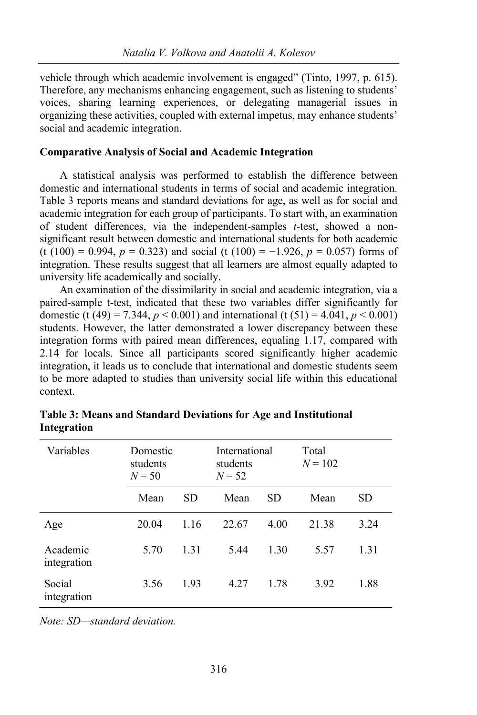vehicle through which academic involvement is engaged" (Tinto, 1997, p. 615). Therefore, any mechanisms enhancing engagement, such as listening to students' voices, sharing learning experiences, or delegating managerial issues in organizing these activities, coupled with external impetus, may enhance students' social and academic integration.

# **Comparative Analysis of Social and Academic Integration**

A statistical analysis was performed to establish the difference between domestic and international students in terms of social and academic integration. Table 3 reports means and standard deviations for age, as well as for social and academic integration for each group of participants. To start with, an examination of student differences, via the independent-samples *t*-test, showed a nonsignificant result between domestic and international students for both academic (t (100) = 0.994,  $p = 0.323$ ) and social (t (100) = -1.926,  $p = 0.057$ ) forms of integration. These results suggest that all learners are almost equally adapted to university life academically and socially.

An examination of the dissimilarity in social and academic integration, via a paired-sample t-test, indicated that these two variables differ significantly for domestic (t (49) = 7.344,  $p < 0.001$ ) and international (t (51) = 4.041,  $p < 0.001$ ) students. However, the latter demonstrated a lower discrepancy between these integration forms with paired mean differences, equaling 1.17, compared with 2.14 for locals. Since all participants scored significantly higher academic integration, it leads us to conclude that international and domestic students seem to be more adapted to studies than university social life within this educational context.

| Variables               | Domestic<br>students<br>$N = 50$ |      | International<br>students<br>$N = 52$ |      | Total<br>$N = 102$ |      |
|-------------------------|----------------------------------|------|---------------------------------------|------|--------------------|------|
|                         | Mean                             | SD.  | Mean                                  | SD   | Mean               | SD   |
| Age                     | 20.04                            | 1.16 | 22.67                                 | 4.00 | 21.38              | 3.24 |
| Academic<br>integration | 5.70                             | 1.31 | 5.44                                  | 1.30 | 5.57               | 1.31 |
| Social<br>integration   | 3.56                             | 1.93 | 4.27                                  | 1.78 | 3.92               | 1.88 |

**Table 3: Means and Standard Deviations for Age and Institutional Integration**

*Note: SD—standard deviation.*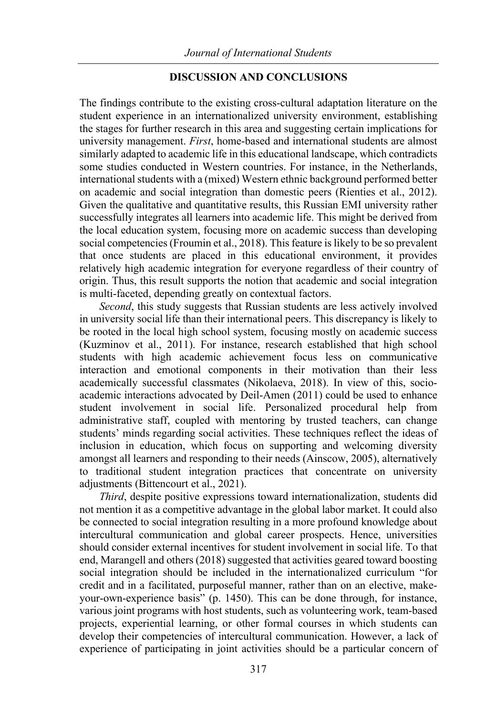# **DISCUSSION AND CONCLUSIONS**

The findings contribute to the existing cross-cultural adaptation literature on the student experience in an internationalized university environment, establishing the stages for further research in this area and suggesting certain implications for university management. *First*, home-based and international students are almost similarly adapted to academic life in this educational landscape, which contradicts some studies conducted in Western countries. For instance, in the Netherlands, international students with a (mixed) Western ethnic background performed better on academic and social integration than domestic peers (Rienties et al., 2012). Given the qualitative and quantitative results, this Russian EMI university rather successfully integrates all learners into academic life. This might be derived from the local education system, focusing more on academic success than developing social competencies (Froumin et al., 2018). This feature is likely to be so prevalent that once students are placed in this educational environment, it provides relatively high academic integration for everyone regardless of their country of origin. Thus, this result supports the notion that academic and social integration is multi-faceted, depending greatly on contextual factors.

*Second*, this study suggests that Russian students are less actively involved in university social life than their international peers. This discrepancy is likely to be rooted in the local high school system, focusing mostly on academic success (Kuzminov et al., 2011). For instance, research established that high school students with high academic achievement focus less on communicative interaction and emotional components in their motivation than their less academically successful classmates (Nikolaeva, 2018). In view of this, socioacademic interactions advocated by Deil-Amen (2011) could be used to enhance student involvement in social life. Personalized procedural help from administrative staff, coupled with mentoring by trusted teachers, can change students' minds regarding social activities. These techniques reflect the ideas of inclusion in education, which focus on supporting and welcoming diversity amongst all learners and responding to their needs (Ainscow, 2005), alternatively to traditional student integration practices that concentrate on university adjustments (Bittencourt et al., 2021).

*Third*, despite positive expressions toward internationalization, students did not mention it as a competitive advantage in the global labor market. It could also be connected to social integration resulting in a more profound knowledge about intercultural communication and global career prospects. Hence, universities should consider external incentives for student involvement in social life. To that end, Marangell and others (2018) suggested that activities geared toward boosting social integration should be included in the internationalized curriculum "for credit and in a facilitated, purposeful manner, rather than on an elective, makeyour-own-experience basis" (p. 1450). This can be done through, for instance, various joint programs with host students, such as volunteering work, team-based projects, experiential learning, or other formal courses in which students can develop their competencies of intercultural communication. However, a lack of experience of participating in joint activities should be a particular concern of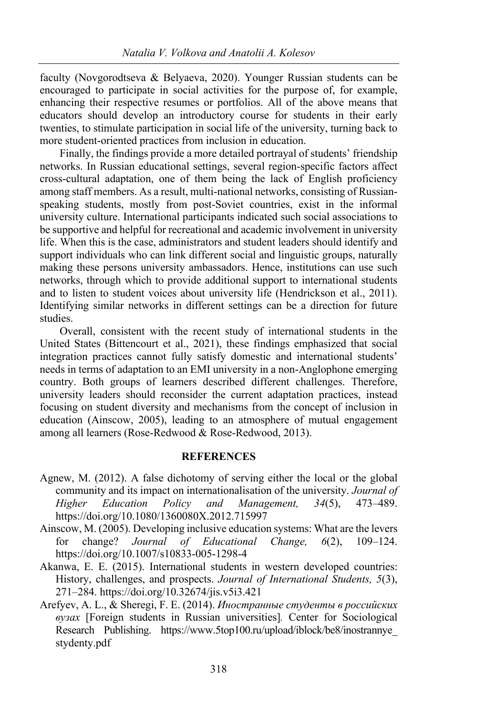faculty (Novgorodtseva & Belyaeva, 2020). Younger Russian students can be encouraged to participate in social activities for the purpose of, for example, enhancing their respective resumes or portfolios. All of the above means that educators should develop an introductory course for students in their early twenties, to stimulate participation in social life of the university, turning back to more student-oriented practices from inclusion in education.

Finally, the findings provide a more detailed portrayal of students' friendship networks. In Russian educational settings, several region-specific factors affect cross-cultural adaptation, one of them being the lack of English proficiency among staff members. As a result, multi-national networks, consisting of Russianspeaking students, mostly from post-Soviet countries, exist in the informal university culture. International participants indicated such social associations to be supportive and helpful for recreational and academic involvement in university life. When this is the case, administrators and student leaders should identify and support individuals who can link different social and linguistic groups, naturally making these persons university ambassadors. Hence, institutions can use such networks, through which to provide additional support to international students and to listen to student voices about university life (Hendrickson et al., 2011). Identifying similar networks in different settings can be a direction for future studies.

Overall, consistent with the recent study of international students in the United States (Bittencourt et al., 2021), these findings emphasized that social integration practices cannot fully satisfy domestic and international students' needs in terms of adaptation to an EMI university in a non-Anglophone emerging country. Both groups of learners described different challenges. Therefore, university leaders should reconsider the current adaptation practices, instead focusing on student diversity and mechanisms from the concept of inclusion in education (Ainscow, 2005), leading to an atmosphere of mutual engagement among all learners (Rose-Redwood & Rose-Redwood, 2013).

#### **REFERENCES**

- Agnew, M. (2012). A false dichotomy of serving either the local or the global community and its impact on internationalisation of the university. *Journal of Higher Education Policy and Management, 34*(5), 473–489. https://doi.org/10.1080/1360080X.2012.715997
- Ainscow, M. (2005). Developing inclusive education systems: What are the levers for change? *Journal of Educational Change, 6*(2), 109–124. https://doi.org/10.1007/s10833-005-1298-4
- Akanwa, E. E. (2015). International students in western developed countries: History, challenges, and prospects. *Journal of International Students, 5*(3), 271–284. https://doi.org/10.32674/jis.v5i3.421
- Arefyev, A. L., & Sheregi, F. E. (2014). *Иностранные студенты в российских вузах* [Foreign students in Russian universities]*.* Center for Sociological Research Publishing. https://www.5top100.ru/upload/iblock/be8/inostrannye\_ stydenty.pdf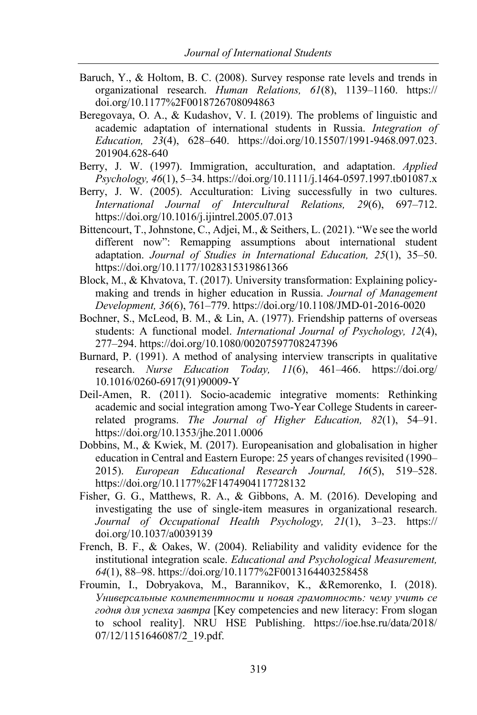- Baruch, Y., & Holtom, B. C. (2008). Survey response rate levels and trends in organizational research. *Human Relations, 61*(8), 1139–1160. https:// doi.org/10.1177%2F0018726708094863
- Beregovaya, O. A., & Kudashov, V. I. (2019). The problems of linguistic and academic adaptation of international students in Russia. *Integration of Education, 23*(4), 628–640. https://doi.org/10.15507/1991-9468.097.023. 201904.628-640
- Berry, J. W. (1997). Immigration, acculturation, and adaptation. *Applied Psychology, 46*(1), 5–34. https://doi.org/10.1111/j.1464-0597.1997.tb01087.x
- Berry, J. W. (2005). Acculturation: Living successfully in two cultures. *International Journal of Intercultural Relations, 29*(6), 697–712. https://doi.org/10.1016/j.ijintrel.2005.07.013
- Bittencourt, T., Johnstone, C., Adjei, M., & Seithers, L. (2021). "We see the world different now": Remapping assumptions about international student adaptation. *Journal of Studies in International Education, 25*(1), 35–50. https://doi.org/10.1177/1028315319861366
- Block, M., & Khvatova, T. (2017). University transformation: Explaining policymaking and trends in higher education in Russia. *Journal of Management Development, 36*(6), 761–779. https://doi.org/10.1108/JMD-01-2016-0020
- Bochner, S., McLeod, B. M., & Lin, A. (1977). Friendship patterns of overseas students: A functional model. *International Journal of Psychology, 12*(4), 277–294. https://doi.org/10.1080/00207597708247396
- Burnard, P. (1991). A method of analysing interview transcripts in qualitative research. *Nurse Education Today, 11*(6), 461–466. https://doi.org/ 10.1016/0260-6917(91)90009-Y
- Deil-Amen, R. (2011). Socio-academic integrative moments: Rethinking academic and social integration among Two-Year College Students in careerrelated programs. *The Journal of Higher Education, 82*(1), 54–91. https://doi.org/10.1353/jhe.2011.0006
- Dobbins, M., & Kwiek, M. (2017). Europeanisation and globalisation in higher education in Central and Eastern Europe: 25 years of changes revisited (1990– 2015). *European Educational Research Journal, 16*(5), 519–528. https://doi.org/10.1177%2F1474904117728132
- Fisher, G. G., Matthews, R. A., & Gibbons, A. M. (2016). Developing and investigating the use of single-item measures in organizational research. *Journal of Occupational Health Psychology, 21*(1), 3–23. https:// doi.org/10.1037/a0039139
- French, B. F., & Oakes, W. (2004). Reliability and validity evidence for the institutional integration scale. *Educational and Psychological Measurement, 64*(1), 88–98. https://doi.org/10.1177%2F0013164403258458
- Froumin, I., Dobryakova, M., Barannikov, K., &Remorenko, I. (2018). *Универсальные компетентности и новая грамотность: чему учить се годня для успеха завтра* [Key competencies and new literacy: From slogan to school reality]. NRU HSE Publishing. https://ioe.hse.ru/data/2018/ 07/12/1151646087/2\_19.pdf.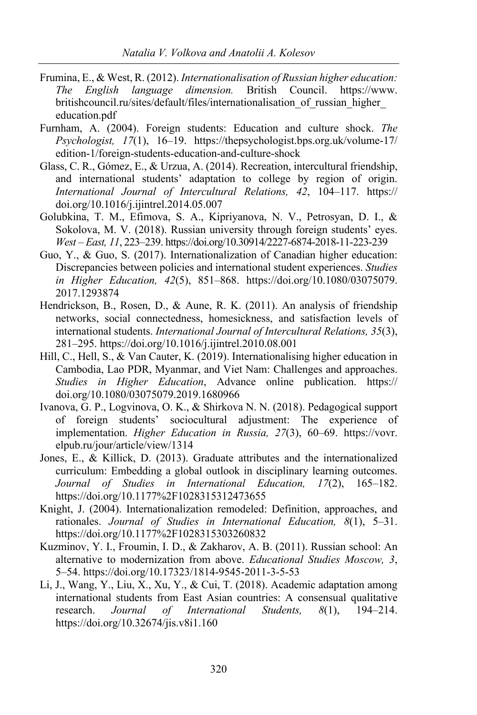- Frumina, E., & West, R. (2012). *Internationalisation of Russian higher education: The English language dimension.* British Council. https://www. britishcouncil.ru/sites/default/files/internationalisation\_of\_russian\_higher\_ education.pdf
- Furnham, A. (2004). Foreign students: Education and culture shock. *The Psychologist, 17*(1), 16–19. https://thepsychologist.bps.org.uk/volume-17/ edition-1/foreign-students-education-and-culture-shock
- Glass, C. R., Gómez, E., & Urzua, A. (2014). Recreation, intercultural friendship, and international students' adaptation to college by region of origin. *International Journal of Intercultural Relations, 42*, 104–117. https:// doi.org/10.1016/j.ijintrel.2014.05.007
- Golubkina, T. M., Efimova, S. A., Kipriyanova, N. V., Petrosyan, D. I., & Sokolova, M. V. (2018). Russian university through foreign students' eyes. *West – East, 11*, 223–239. https://doi.org/10.30914/2227-6874-2018-11-223-239
- Guo, Y., & Guo, S. (2017). Internationalization of Canadian higher education: Discrepancies between policies and international student experiences. *Studies in Higher Education, 42*(5), 851–868. https://doi.org/10.1080/03075079. 2017.1293874
- Hendrickson, B., Rosen, D., & Aune, R. K. (2011). An analysis of friendship networks, social connectedness, homesickness, and satisfaction levels of international students. *International Journal of Intercultural Relations, 35*(3), 281–295. https://doi.org/10.1016/j.ijintrel.2010.08.001
- Hill, C., Hell, S., & Van Cauter, K. (2019). Internationalising higher education in Cambodia, Lao PDR, Myanmar, and Viet Nam: Challenges and approaches. *Studies in Higher Education*, Advance online publication. https:// doi.org/10.1080/03075079.2019.1680966
- Ivanova, G. P., Logvinova, O. K., & Shirkova N. N. (2018). Pedagogical support of foreign students' sociocultural adjustment: The experience of implementation. *Higher Education in Russia, 27*(3), 60–69. https://vovr. elpub.ru/jour/article/view/1314
- Jones, E., & Killick, D. (2013). Graduate attributes and the internationalized curriculum: Embedding a global outlook in disciplinary learning outcomes. *Journal of Studies in International Education, 17*(2), 165–182. https://doi.org/10.1177%2F1028315312473655
- Knight, J. (2004). Internationalization remodeled: Definition, approaches, and rationales. *Journal of Studies in International Education, 8*(1), 5–31. https://doi.org/10.1177%2F1028315303260832
- Kuzminov, Y. I., Froumin, I. D., & Zakharov, A. B. (2011). Russian school: An alternative to modernization from above. *Educational Studies Moscow, 3*, 5–54. https://doi.org/10.17323/1814-9545-2011-3-5-53
- Li, J., Wang, Y., Liu, X., Xu, Y., & Cui, T. (2018). Academic adaptation among international students from East Asian countries: A consensual qualitative research. *Journal of International Students, 8*(1), 194–214. https://doi.org/10.32674/jis.v8i1.160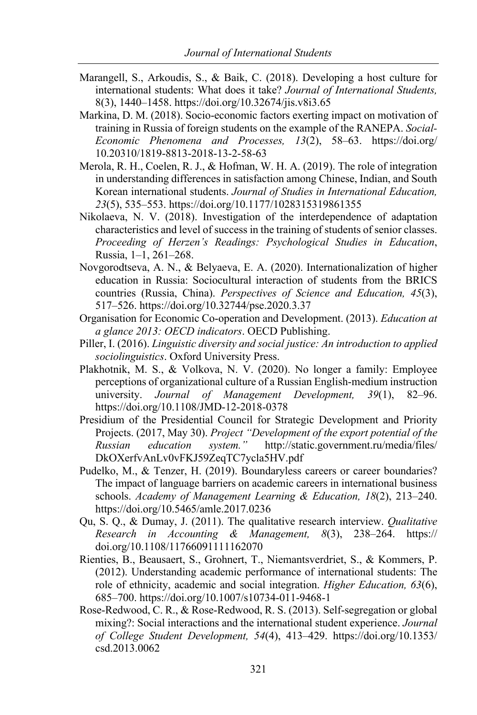- Marangell, S., Arkoudis, S., & Baik, C. (2018). Developing a host culture for international students: What does it take? *Journal of International Students,*  8(3), 1440–1458. https://doi.org/10.32674/jis.v8i3.65
- Markina, D. M. (2018). Socio-economic factors exerting impact on motivation of training in Russia of foreign students on the example of the RANEPA. *Social-Economic Phenomena and Processes, 13*(2), 58–63. https://doi.org/ 10.20310/1819-8813-2018-13-2-58-63
- Merola, R. H., Coelen, R. J., & Hofman, W. H. A. (2019). The role of integration in understanding differences in satisfaction among Chinese, Indian, and South Korean international students. *Journal of Studies in International Education, 23*(5), 535–553. https://doi.org/10.1177/1028315319861355
- Nikolaeva, N. V. (2018). Investigation of the interdependence of adaptation characteristics and level of success in the training of students of senior classes. *Proceeding of Herzen's Readings: Psychological Studies in Education*, Russia, 1–1, 261–268.
- Novgorodtseva, A. N., & Belyaeva, E. A. (2020). Internationalization of higher education in Russia: Sociocultural interaction of students from the BRICS countries (Russia, China). *Perspectives of Science and Education, 45*(3), 517–526. https://doi.org/10.32744/pse.2020.3.37
- Organisation for Economic Co-operation and Development. (2013). *Education at a glance 2013: OECD indicators*. OECD Publishing.
- Piller, I. (2016). *Linguistic diversity and social justice: An introduction to applied sociolinguistics*. Oxford University Press.
- Plakhotnik, M. S., & Volkova, N. V. (2020). No longer a family: Employee perceptions of organizational culture of a Russian English-medium instruction university. *Journal of Management Development, 39*(1), 82–96. https://doi.org/10.1108/JMD-12-2018-0378
- Presidium of the Presidential Council for Strategic Development and Priority Projects. (2017, May 30). *Project "Development of the export potential of the Russian education system."* http://static.government.ru/media/files/ DkOXerfvAnLv0vFKJ59ZeqTC7ycla5HV.pdf
- Pudelko, M., & Tenzer, H. (2019). Boundaryless careers or career boundaries? The impact of language barriers on academic careers in international business schools. *Academy of Management Learning & Education, 18*(2), 213–240. https://doi.org/10.5465/amle.2017.0236
- Qu, S. Q., & Dumay, J. (2011). The qualitative research interview. *Qualitative Research in Accounting & Management, 8*(3), 238–264. https:// doi.org/10.1108/11766091111162070
- Rienties, B., Beausaert, S., Grohnert, T., Niemantsverdriet, S., & Kommers, P. (2012). Understanding academic performance of international students: The role of ethnicity, academic and social integration. *Higher Education, 63*(6), 685–700. https://doi.org/10.1007/s10734-011-9468-1
- Rose-Redwood, C. R., & Rose-Redwood, R. S. (2013). Self-segregation or global mixing?: Social interactions and the international student experience. *Journal of College Student Development, 54*(4), 413–429. https://doi.org/10.1353/ csd.2013.0062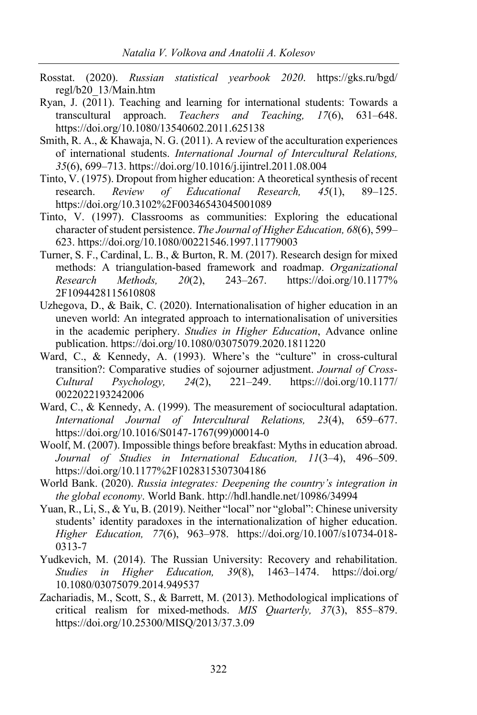- Rosstat. (2020). *Russian statistical yearbook 2020*. https://gks.ru/bgd/ regl/b20\_13/Main.htm
- Ryan, J. (2011). Teaching and learning for international students: Towards a transcultural approach. *Teachers and Teaching, 17*(6), 631–648. https://doi.org/10.1080/13540602.2011.625138
- Smith, R. A., & Khawaja, N. G. (2011). A review of the acculturation experiences of international students. *International Journal of Intercultural Relations, 35*(6), 699–713. https://doi.org/10.1016/j.ijintrel.2011.08.004
- Tinto, V. (1975). Dropout from higher education: A theoretical synthesis of recent research. *Review of Educational Research, 45*(1), 89–125. https://doi.org/10.3102%2F00346543045001089
- Tinto, V. (1997). Classrooms as communities: Exploring the educational character of student persistence. *The Journal of Higher Education, 68*(6), 599– 623. https://doi.org/10.1080/00221546.1997.11779003
- Turner, S. F., Cardinal, L. B., & Burton, R. M. (2017). Research design for mixed methods: A triangulation-based framework and roadmap. *Organizational Research Methods, 20*(2), 243–267. https://doi.org/10.1177% 2F1094428115610808
- Uzhegova, D., & Baik, C. (2020). Internationalisation of higher education in an uneven world: An integrated approach to internationalisation of universities in the academic periphery. *Studies in Higher Education*, Advance online publication. https://doi.org/10.1080/03075079.2020.1811220
- Ward, C., & Kennedy, A. (1993). Where's the "culture" in cross-cultural transition?: Comparative studies of sojourner adjustment. *Journal of Cross-Cultural Psychology, 24*(2), 221–249. https:///doi.org/10.1177/ 0022022193242006
- Ward, C., & Kennedy, A. (1999). The measurement of sociocultural adaptation. *International Journal of Intercultural Relations, 23*(4), 659–677. https://doi.org/10.1016/S0147-1767(99)00014-0
- Woolf, M. (2007). Impossible things before breakfast: Myths in education abroad. *Journal of Studies in International Education, 11*(3–4), 496–509. https://doi.org/10.1177%2F1028315307304186
- World Bank. (2020). *Russia integrates: Deepening the country's integration in the global economy*. World Bank. http://hdl.handle.net/10986/34994
- Yuan, R., Li, S., & Yu, B. (2019). Neither "local" nor "global": Chinese university students' identity paradoxes in the internationalization of higher education. *Higher Education, 77*(6), 963–978. https://doi.org/10.1007/s10734-018- 0313-7
- Yudkevich, M. (2014). The Russian University: Recovery and rehabilitation. *Studies in Higher Education, 39*(8), 1463–1474. https://doi.org/ 10.1080/03075079.2014.949537
- Zachariadis, M., Scott, S., & Barrett, M. (2013). Methodological implications of critical realism for mixed-methods. *MIS Quarterly, 37*(3), 855–879. https://doi.org/10.25300/MISQ/2013/37.3.09